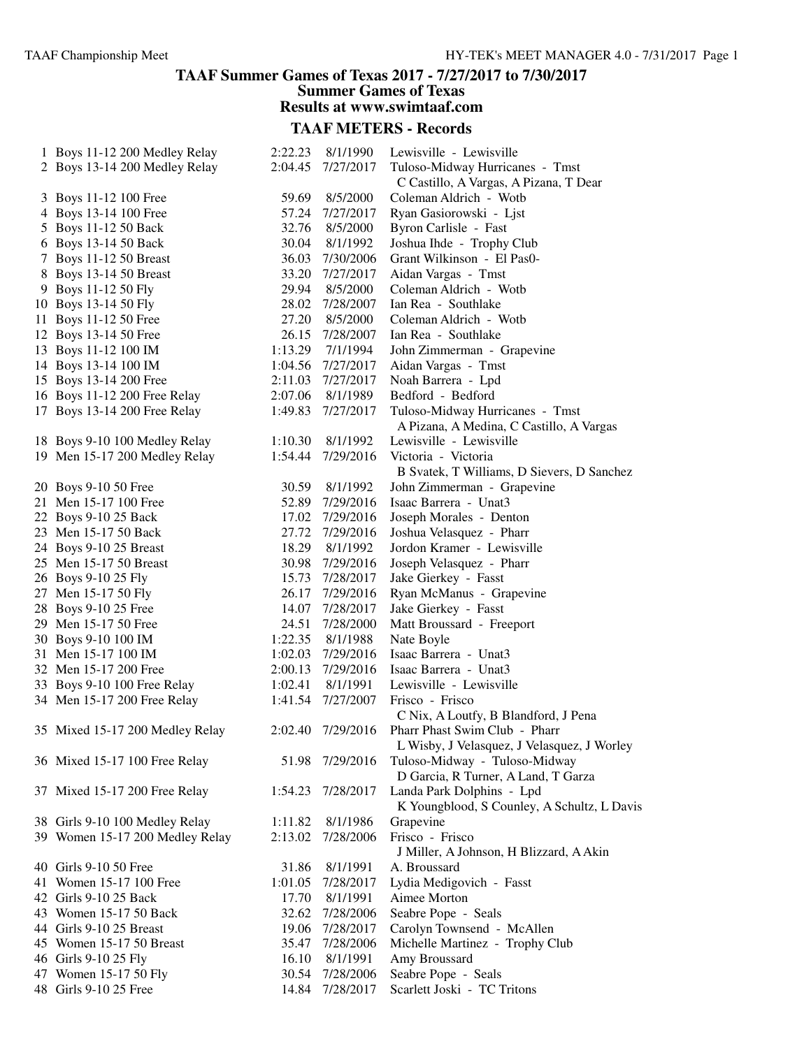### **TAAF Summer Games of Texas 2017 - 7/27/2017 to 7/30/2017 Summer Games of Texas Results at www.swimtaaf.com**

| 1 Boys 11-12 200 Medley Relay   | 2:22.23 | 8/1/1990          | Lewisville - Lewisville                     |
|---------------------------------|---------|-------------------|---------------------------------------------|
| 2 Boys 13-14 200 Medley Relay   | 2:04.45 | 7/27/2017         | Tuloso-Midway Hurricanes - Tmst             |
|                                 |         |                   | C Castillo, A Vargas, A Pizana, T Dear      |
| 3 Boys 11-12 100 Free           | 59.69   | 8/5/2000          | Coleman Aldrich - Wotb                      |
| 4 Boys 13-14 100 Free           | 57.24   | 7/27/2017         | Ryan Gasiorowski - Ljst                     |
| 5 Boys 11-12 50 Back            | 32.76   | 8/5/2000          | Byron Carlisle - Fast                       |
| 6 Boys 13-14 50 Back            | 30.04   | 8/1/1992          | Joshua Ihde - Trophy Club                   |
| 7 Boys 11-12 50 Breast          |         | 36.03 7/30/2006   | Grant Wilkinson - El Pas0-                  |
| 8 Boys 13-14 50 Breast          |         | 33.20 7/27/2017   | Aidan Vargas - Tmst                         |
| 9 Boys 11-12 50 Fly             | 29.94   | 8/5/2000          | Coleman Aldrich - Wotb                      |
| 10 Boys 13-14 50 Fly            |         | 28.02 7/28/2007   | Ian Rea - Southlake                         |
| 11 Boys 11-12 50 Free           | 27.20   | 8/5/2000          | Coleman Aldrich - Wotb                      |
| 12 Boys 13-14 50 Free           |         | 26.15 7/28/2007   | Ian Rea - Southlake                         |
| 13 Boys 11-12 100 IM            | 1:13.29 | 7/1/1994          | John Zimmerman - Grapevine                  |
| 14 Boys 13-14 100 IM            |         | 1:04.56 7/27/2017 | Aidan Vargas - Tmst                         |
| 15 Boys 13-14 200 Free          |         | 2:11.03 7/27/2017 | Noah Barrera - Lpd                          |
|                                 |         |                   | Bedford - Bedford                           |
| 16 Boys 11-12 200 Free Relay    | 2:07.06 | 8/1/1989          |                                             |
| 17 Boys 13-14 200 Free Relay    |         | 1:49.83 7/27/2017 | Tuloso-Midway Hurricanes - Tmst             |
|                                 |         |                   | A Pizana, A Medina, C Castillo, A Vargas    |
| 18 Boys 9-10 100 Medley Relay   |         | 1:10.30 8/1/1992  | Lewisville - Lewisville                     |
| 19 Men 15-17 200 Medley Relay   |         | 1:54.44 7/29/2016 | Victoria - Victoria                         |
|                                 |         |                   | B Svatek, T Williams, D Sievers, D Sanchez  |
| 20 Boys 9-10 50 Free            | 30.59   | 8/1/1992          | John Zimmerman - Grapevine                  |
| 21 Men 15-17 100 Free           |         | 52.89 7/29/2016   | Isaac Barrera - Unat3                       |
| 22 Boys 9-10 25 Back            |         | 17.02 7/29/2016   | Joseph Morales - Denton                     |
| 23 Men 15-17 50 Back            |         | 27.72 7/29/2016   | Joshua Velasquez - Pharr                    |
| 24 Boys 9-10 25 Breast          | 18.29   | 8/1/1992          | Jordon Kramer - Lewisville                  |
| 25 Men 15-17 50 Breast          | 30.98   | 7/29/2016         | Joseph Velasquez - Pharr                    |
| 26 Boys 9-10 25 Fly             |         | 15.73 7/28/2017   | Jake Gierkey - Fasst                        |
| 27 Men 15-17 50 Fly             |         | 26.17 7/29/2016   | Ryan McManus - Grapevine                    |
| 28 Boys 9-10 25 Free            |         | 14.07 7/28/2017   | Jake Gierkey - Fasst                        |
| 29 Men 15-17 50 Free            |         | 24.51 7/28/2000   | Matt Broussard - Freeport                   |
| 30 Boys 9-10 100 IM             |         | 1:22.35 8/1/1988  | Nate Boyle                                  |
| 31 Men 15-17 100 IM             |         | 1:02.03 7/29/2016 | Isaac Barrera - Unat3                       |
| 32 Men 15-17 200 Free           |         | 2:00.13 7/29/2016 | Isaac Barrera - Unat3                       |
| 33 Boys 9-10 100 Free Relay     | 1:02.41 | 8/1/1991          | Lewisville - Lewisville                     |
| 34 Men 15-17 200 Free Relay     |         | 1:41.54 7/27/2007 | Frisco - Frisco                             |
|                                 |         |                   | C Nix, A Loutfy, B Blandford, J Pena        |
| 35 Mixed 15-17 200 Medley Relay | 2:02.40 | 7/29/2016         | Pharr Phast Swim Club - Pharr               |
|                                 |         |                   | L Wisby, J Velasquez, J Velasquez, J Worley |
| 36 Mixed 15-17 100 Free Relay   |         | 51.98 7/29/2016   | Tuloso-Midway - Tuloso-Midway               |
|                                 |         |                   | D Garcia, R Turner, A Land, T Garza         |
| 37 Mixed 15-17 200 Free Relay   | 1:54.23 | 7/28/2017         | Landa Park Dolphins - Lpd                   |
|                                 |         |                   | K Youngblood, S Counley, A Schultz, L Davis |
| 38 Girls 9-10 100 Medley Relay  | 1:11.82 | 8/1/1986          | Grapevine                                   |
| 39 Women 15-17 200 Medley Relay | 2:13.02 | 7/28/2006         | Frisco - Frisco                             |
|                                 |         |                   | J Miller, A Johnson, H Blizzard, A Akin     |
| 40 Girls 9-10 50 Free           | 31.86   | 8/1/1991          | A. Broussard                                |
| 41 Women 15-17 100 Free         | 1:01.05 | 7/28/2017         | Lydia Medigovich - Fasst                    |
| 42 Girls 9-10 25 Back           | 17.70   | 8/1/1991          | Aimee Morton                                |
| 43 Women 15-17 50 Back          | 32.62   | 7/28/2006         | Seabre Pope - Seals                         |
| 44 Girls 9-10 25 Breast         | 19.06   | 7/28/2017         | Carolyn Townsend - McAllen                  |
| 45 Women 15-17 50 Breast        | 35.47   | 7/28/2006         | Michelle Martinez - Trophy Club             |
| 46 Girls 9-10 25 Fly            | 16.10   | 8/1/1991          | Amy Broussard                               |
| 47 Women 15-17 50 Fly           | 30.54   | 7/28/2006         | Seabre Pope - Seals                         |
| 48 Girls 9-10 25 Free           |         | 14.84 7/28/2017   | Scarlett Joski - TC Tritons                 |
|                                 |         |                   |                                             |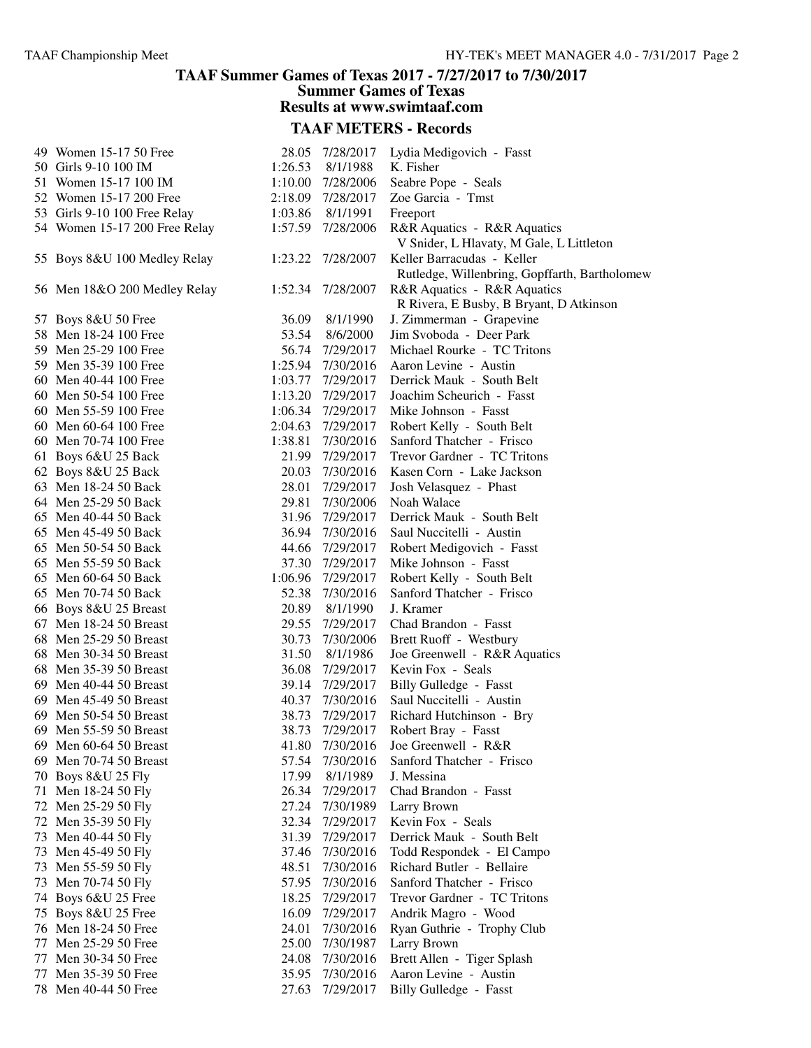#### **TAAF Summer Games of Texas 2017 - 7/27/2017 to 7/30/2017 Summer Games of Texas**

**Results at www.swimtaaf.com**

| 49 Women 15-17 50 Free        | 28.05   | 7/28/2017         | Lydia Medigovich - Fasst                      |
|-------------------------------|---------|-------------------|-----------------------------------------------|
| 50 Girls 9-10 100 IM          | 1:26.53 | 8/1/1988          | K. Fisher                                     |
| 51 Women 15-17 100 IM         |         | 1:10.00 7/28/2006 | Seabre Pope - Seals                           |
| 52 Women 15-17 200 Free       |         | 2:18.09 7/28/2017 | Zoe Garcia - Tmst                             |
| 53 Girls 9-10 100 Free Relay  | 1:03.86 | 8/1/1991          | Freeport                                      |
| 54 Women 15-17 200 Free Relay | 1:57.59 | 7/28/2006         | R&R Aquatics - R&R Aquatics                   |
|                               |         |                   | V Snider, L Hlavaty, M Gale, L Littleton      |
| 55 Boys 8&U 100 Medley Relay  | 1:23.22 | 7/28/2007         | Keller Barracudas - Keller                    |
|                               |         |                   | Rutledge, Willenbring, Gopffarth, Bartholomew |
| 56 Men 18&O 200 Medley Relay  | 1:52.34 | 7/28/2007         | R&R Aquatics - R&R Aquatics                   |
|                               |         |                   | R Rivera, E Busby, B Bryant, D Atkinson       |
| 57 Boys 8&U 50 Free           | 36.09   | 8/1/1990          | J. Zimmerman - Grapevine                      |
| 58 Men 18-24 100 Free         | 53.54   | 8/6/2000          | Jim Svoboda - Deer Park                       |
| 59 Men 25-29 100 Free         |         | 56.74 7/29/2017   | Michael Rourke - TC Tritons                   |
| 59 Men 35-39 100 Free         |         | 1:25.94 7/30/2016 | Aaron Levine - Austin                         |
| 60 Men 40-44 100 Free         |         | 1:03.77 7/29/2017 | Derrick Mauk - South Belt                     |
| 60 Men 50-54 100 Free         | 1:13.20 | 7/29/2017         | Joachim Scheurich - Fasst                     |
| 60 Men 55-59 100 Free         |         | 1:06.34 7/29/2017 | Mike Johnson - Fasst                          |
| 60 Men 60-64 100 Free         |         | 2:04.63 7/29/2017 | Robert Kelly - South Belt                     |
| 60 Men 70-74 100 Free         | 1:38.81 | 7/30/2016         | Sanford Thatcher - Frisco                     |
| 61 Boys 6&U 25 Back           | 21.99   | 7/29/2017         | Trevor Gardner - TC Tritons                   |
| 62 Boys 8&U 25 Back           | 20.03   | 7/30/2016         | Kasen Corn - Lake Jackson                     |
| 63 Men 18-24 50 Back          | 28.01   | 7/29/2017         | Josh Velasquez - Phast                        |
| 64 Men 25-29 50 Back          | 29.81   | 7/30/2006         | Noah Walace                                   |
| 65 Men 40-44 50 Back          | 31.96   | 7/29/2017         | Derrick Mauk - South Belt                     |
| 65 Men 45-49 50 Back          | 36.94   | 7/30/2016         | Saul Nuccitelli - Austin                      |
| 65 Men 50-54 50 Back          | 44.66   | 7/29/2017         | Robert Medigovich - Fasst                     |
| 65 Men 55-59 50 Back          | 37.30   | 7/29/2017         | Mike Johnson - Fasst                          |
| 65 Men 60-64 50 Back          | 1:06.96 | 7/29/2017         | Robert Kelly - South Belt                     |
| 65 Men 70-74 50 Back          | 52.38   | 7/30/2016         | Sanford Thatcher - Frisco                     |
| 66 Boys 8&U 25 Breast         | 20.89   | 8/1/1990          | J. Kramer                                     |
| 67 Men 18-24 50 Breast        | 29.55   | 7/29/2017         | Chad Brandon - Fasst                          |
| 68 Men 25-29 50 Breast        | 30.73   | 7/30/2006         | Brett Ruoff - Westbury                        |
| 68 Men 30-34 50 Breast        | 31.50   | 8/1/1986          | Joe Greenwell - R&R Aquatics                  |
| 68 Men 35-39 50 Breast        | 36.08   | 7/29/2017         | Kevin Fox - Seals                             |
| 69 Men 40-44 50 Breast        | 39.14   | 7/29/2017         | Billy Gulledge - Fasst                        |
| 69 Men 45-49 50 Breast        |         | 40.37 7/30/2016   | Saul Nuccitelli - Austin                      |
| 69 Men 50-54 50 Breast        | 38.73   | 7/29/2017         | Richard Hutchinson - Bry                      |
| 69 Men 55-59 50 Breast        | 38.73   | 7/29/2017         | Robert Bray - Fasst                           |
| 69 Men 60-64 50 Breast        | 41.80   | 7/30/2016         | Joe Greenwell - R&R                           |
| 69 Men 70-74 50 Breast        | 57.54   | 7/30/2016         | Sanford Thatcher - Frisco                     |
| 70 Boys 8&U 25 Fly            | 17.99   | 8/1/1989          | J. Messina                                    |
| 71 Men 18-24 50 Fly           | 26.34   | 7/29/2017         | Chad Brandon - Fasst                          |
| 72 Men 25-29 50 Fly           | 27.24   | 7/30/1989         | Larry Brown                                   |
| 72 Men 35-39 50 Fly           | 32.34   | 7/29/2017         | Kevin Fox - Seals                             |
| 73 Men 40-44 50 Fly           | 31.39   | 7/29/2017         | Derrick Mauk - South Belt                     |
| 73 Men 45-49 50 Fly           | 37.46   | 7/30/2016         | Todd Respondek - El Campo                     |
| 73 Men 55-59 50 Fly           | 48.51   | 7/30/2016         | Richard Butler - Bellaire                     |
| 73 Men 70-74 50 Fly           | 57.95   | 7/30/2016         | Sanford Thatcher - Frisco                     |
| 74 Boys 6&U 25 Free           | 18.25   | 7/29/2017         | Trevor Gardner - TC Tritons                   |
| 75 Boys 8&U 25 Free           | 16.09   | 7/29/2017         | Andrik Magro - Wood                           |
| 76 Men 18-24 50 Free          | 24.01   | 7/30/2016         | Ryan Guthrie - Trophy Club                    |
| 77 Men 25-29 50 Free          | 25.00   | 7/30/1987         | Larry Brown                                   |
| 77 Men 30-34 50 Free          | 24.08   | 7/30/2016         | Brett Allen - Tiger Splash                    |
| 77 Men 35-39 50 Free          | 35.95   | 7/30/2016         | Aaron Levine - Austin                         |
| 78 Men 40-44 50 Free          | 27.63   | 7/29/2017         | Billy Gulledge - Fasst                        |
|                               |         |                   |                                               |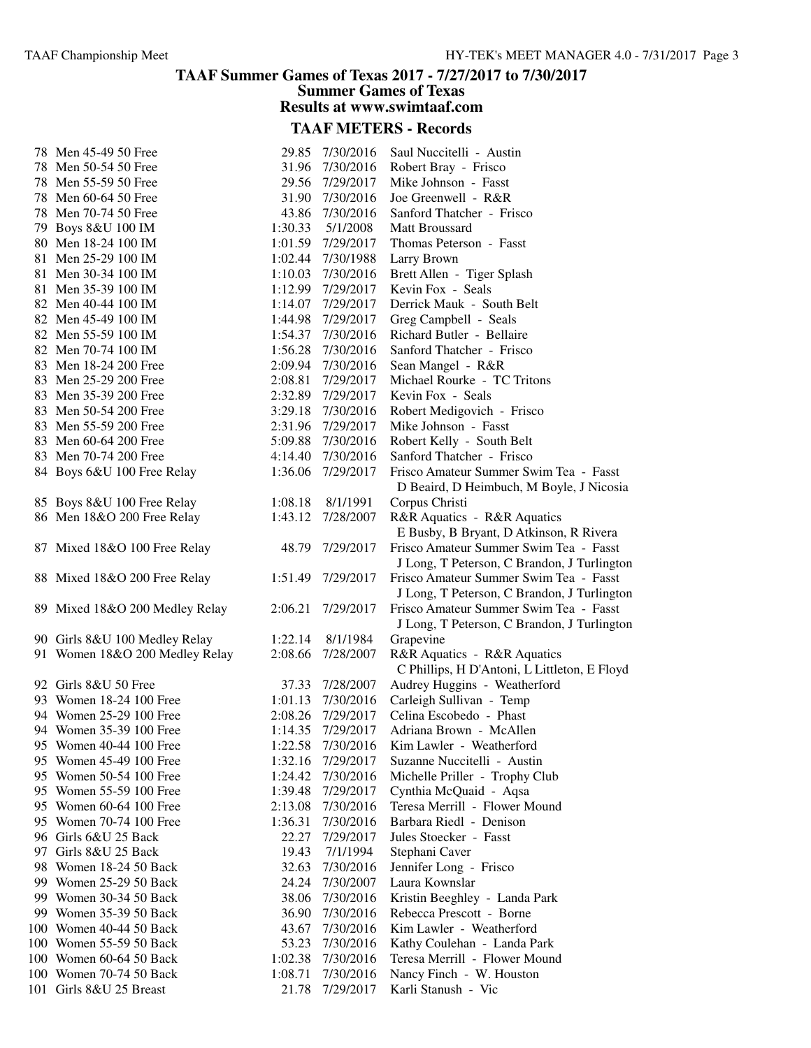## **TAAF Summer Games of Texas 2017 - 7/27/2017 to 7/30/2017 Summer Games of Texas**

**Results at www.swimtaaf.com**

| 78 Men 45-49 50 Free           | 29.85   | 7/30/2016         | Saul Nuccitelli - Austin                                                              |
|--------------------------------|---------|-------------------|---------------------------------------------------------------------------------------|
| 78 Men 50-54 50 Free           | 31.96   | 7/30/2016         | Robert Bray - Frisco                                                                  |
| 78 Men 55-59 50 Free           | 29.56   | 7/29/2017         | Mike Johnson - Fasst                                                                  |
| 78 Men 60-64 50 Free           | 31.90   | 7/30/2016         | Joe Greenwell - R&R                                                                   |
| 78 Men 70-74 50 Free           | 43.86   | 7/30/2016         | Sanford Thatcher - Frisco                                                             |
| 79 Boys 8&U 100 IM             | 1:30.33 | 5/1/2008          | Matt Broussard                                                                        |
| 80 Men 18-24 100 IM            |         | 1:01.59 7/29/2017 | Thomas Peterson - Fasst                                                               |
| 81 Men 25-29 100 IM            | 1:02.44 | 7/30/1988         | Larry Brown                                                                           |
| 81 Men 30-34 100 IM            | 1:10.03 | 7/30/2016         | Brett Allen - Tiger Splash                                                            |
| 81 Men 35-39 100 IM            | 1:12.99 | 7/29/2017         | Kevin Fox - Seals                                                                     |
| 82 Men 40-44 100 IM            |         | 1:14.07 7/29/2017 | Derrick Mauk - South Belt                                                             |
| 82 Men 45-49 100 IM            | 1:44.98 | 7/29/2017         | Greg Campbell - Seals                                                                 |
| 82 Men 55-59 100 IM            |         | 1:54.37 7/30/2016 | Richard Butler - Bellaire                                                             |
| 82 Men 70-74 100 IM            | 1:56.28 | 7/30/2016         | Sanford Thatcher - Frisco                                                             |
| 83 Men 18-24 200 Free          |         | 2:09.94 7/30/2016 | Sean Mangel - R&R                                                                     |
| 83 Men 25-29 200 Free          | 2:08.81 | 7/29/2017         | Michael Rourke - TC Tritons                                                           |
| 83 Men 35-39 200 Free          |         | 2:32.89 7/29/2017 | Kevin Fox - Seals                                                                     |
| 83 Men 50-54 200 Free          |         | 3:29.18 7/30/2016 | Robert Medigovich - Frisco                                                            |
| 83 Men 55-59 200 Free          |         | 2:31.96 7/29/2017 | Mike Johnson - Fasst                                                                  |
| 83 Men 60-64 200 Free          | 5:09.88 | 7/30/2016         | Robert Kelly - South Belt                                                             |
| 83 Men 70-74 200 Free          | 4:14.40 | 7/30/2016         | Sanford Thatcher - Frisco                                                             |
| 84 Boys 6&U 100 Free Relay     | 1:36.06 | 7/29/2017         | Frisco Amateur Summer Swim Tea - Fasst                                                |
|                                |         |                   | D Beaird, D Heimbuch, M Boyle, J Nicosia                                              |
| 85 Boys 8&U 100 Free Relay     | 1:08.18 | 8/1/1991          | Corpus Christi                                                                        |
| 86 Men 18&O 200 Free Relay     | 1:43.12 | 7/28/2007         | R&R Aquatics - R&R Aquatics<br>E Busby, B Bryant, D Atkinson, R Rivera                |
| 87 Mixed 18&O 100 Free Relay   | 48.79   | 7/29/2017         | Frisco Amateur Summer Swim Tea - Fasst                                                |
|                                |         |                   | J Long, T Peterson, C Brandon, J Turlington                                           |
| 88 Mixed 18&O 200 Free Relay   | 1:51.49 | 7/29/2017         | Frisco Amateur Summer Swim Tea - Fasst<br>J Long, T Peterson, C Brandon, J Turlington |
| 89 Mixed 18&O 200 Medley Relay | 2:06.21 | 7/29/2017         | Frisco Amateur Summer Swim Tea - Fasst                                                |
|                                |         |                   | J Long, T Peterson, C Brandon, J Turlington                                           |
| 90 Girls 8&U 100 Medley Relay  | 1:22.14 | 8/1/1984          | Grapevine                                                                             |
| 91 Women 18&O 200 Medley Relay | 2:08.66 | 7/28/2007         | R&R Aquatics - R&R Aquatics                                                           |
|                                |         |                   | C Phillips, H D'Antoni, L Littleton, E Floyd                                          |
| 92 Girls 8&U 50 Free           | 37.33   | 7/28/2007         | Audrey Huggins - Weatherford                                                          |
| 93 Women 18-24 100 Free        | 1:01.13 | 7/30/2016         | Carleigh Sullivan - Temp                                                              |
| 94 Women 25-29 100 Free        | 2:08.26 | 7/29/2017         | Celina Escobedo - Phast                                                               |
| 94 Women 35-39 100 Free        | 1:14.35 | 7/29/2017         | Adriana Brown - McAllen                                                               |
| 95 Women 40-44 100 Free        | 1:22.58 | 7/30/2016         | Kim Lawler - Weatherford                                                              |
| 95 Women 45-49 100 Free        | 1:32.16 | 7/29/2017         | Suzanne Nuccitelli - Austin                                                           |
| 95 Women 50-54 100 Free        | 1:24.42 | 7/30/2016         | Michelle Priller - Trophy Club                                                        |
| 95 Women 55-59 100 Free        | 1:39.48 | 7/29/2017         | Cynthia McQuaid - Aqsa                                                                |
| 95 Women 60-64 100 Free        | 2:13.08 | 7/30/2016         | Teresa Merrill - Flower Mound                                                         |
| 95 Women 70-74 100 Free        | 1:36.31 | 7/30/2016         | Barbara Riedl - Denison                                                               |
| 96 Girls 6&U 25 Back           | 22.27   | 7/29/2017         | Jules Stoecker - Fasst                                                                |
| 97 Girls 8&U 25 Back           | 19.43   | 7/1/1994          | Stephani Caver                                                                        |
| 98 Women 18-24 50 Back         | 32.63   | 7/30/2016         | Jennifer Long - Frisco                                                                |
| 99 Women 25-29 50 Back         | 24.24   | 7/30/2007         | Laura Kownslar                                                                        |
| 99 Women 30-34 50 Back         | 38.06   | 7/30/2016         | Kristin Beeghley - Landa Park                                                         |
| 99 Women 35-39 50 Back         | 36.90   | 7/30/2016         | Rebecca Prescott - Borne                                                              |
| 100 Women 40-44 50 Back        | 43.67   | 7/30/2016         | Kim Lawler - Weatherford                                                              |
| 100 Women 55-59 50 Back        | 53.23   | 7/30/2016         | Kathy Coulehan - Landa Park                                                           |
| 100 Women 60-64 50 Back        | 1:02.38 | 7/30/2016         | Teresa Merrill - Flower Mound                                                         |
| 100 Women 70-74 50 Back        | 1:08.71 | 7/30/2016         | Nancy Finch - W. Houston                                                              |
| 101 Girls 8&U 25 Breast        | 21.78   | 7/29/2017         | Karli Stanush - Vic                                                                   |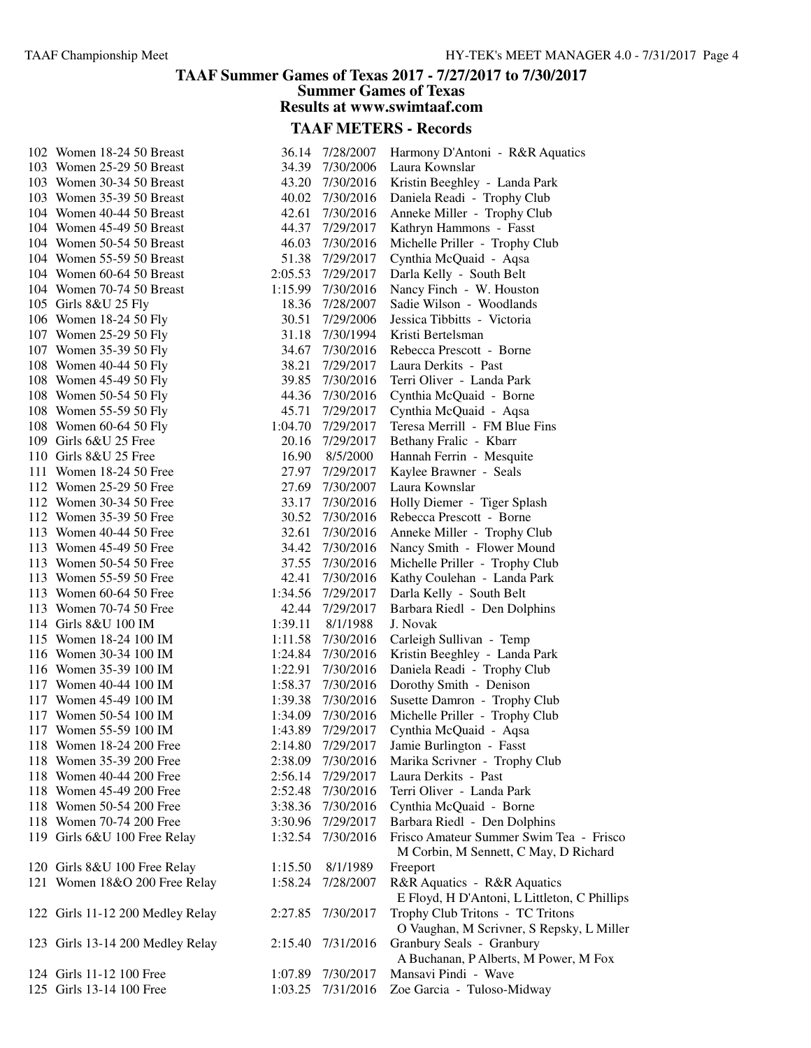#### **TAAF Summer Games of Texas 2017 - 7/27/2017 to 7/30/2017 Summer Games of Texas Results at www.swimtaaf.com**

| 102 Women 18-24 50 Breast        |         | 36.14 7/28/2007 | Harmony D'Antoni - R&R Aquatics              |
|----------------------------------|---------|-----------------|----------------------------------------------|
| 103 Women 25-29 50 Breast        |         | 34.39 7/30/2006 | Laura Kownslar                               |
| 103 Women 30-34 50 Breast        | 43.20   | 7/30/2016       | Kristin Beeghley - Landa Park                |
| 103 Women 35-39 50 Breast        | 40.02   | 7/30/2016       | Daniela Readi - Trophy Club                  |
| 104 Women 40-44 50 Breast        | 42.61   | 7/30/2016       | Anneke Miller - Trophy Club                  |
| 104 Women 45-49 50 Breast        | 44.37   | 7/29/2017       | Kathryn Hammons - Fasst                      |
| 104 Women 50-54 50 Breast        | 46.03   | 7/30/2016       | Michelle Priller - Trophy Club               |
| 104 Women 55-59 50 Breast        | 51.38   | 7/29/2017       | Cynthia McQuaid - Aqsa                       |
| 104 Women 60-64 50 Breast        | 2:05.53 | 7/29/2017       | Darla Kelly - South Belt                     |
| 104 Women 70-74 50 Breast        | 1:15.99 | 7/30/2016       | Nancy Finch - W. Houston                     |
| 105 Girls 8&U 25 Fly             | 18.36   | 7/28/2007       | Sadie Wilson - Woodlands                     |
| 106 Women 18-24 50 Fly           | 30.51   | 7/29/2006       | Jessica Tibbitts - Victoria                  |
| 107 Women 25-29 50 Fly           | 31.18   | 7/30/1994       | Kristi Bertelsman                            |
| 107 Women 35-39 50 Fly           | 34.67   | 7/30/2016       | Rebecca Prescott - Borne                     |
| 108 Women 40-44 50 Fly           | 38.21   | 7/29/2017       | Laura Derkits - Past                         |
| 108 Women 45-49 50 Fly           | 39.85   | 7/30/2016       | Terri Oliver - Landa Park                    |
| 108 Women 50-54 50 Fly           | 44.36   | 7/30/2016       | Cynthia McQuaid - Borne                      |
| 108 Women 55-59 50 Fly           | 45.71   | 7/29/2017       | Cynthia McQuaid - Aqsa                       |
| 108 Women 60-64 50 Fly           | 1:04.70 | 7/29/2017       | Teresa Merrill - FM Blue Fins                |
| 109 Girls 6&U 25 Free            | 20.16   | 7/29/2017       | Bethany Fralic - Kbarr                       |
| 110 Girls 8&U 25 Free            | 16.90   | 8/5/2000        | Hannah Ferrin - Mesquite                     |
| 111 Women 18-24 50 Free          | 27.97   | 7/29/2017       | Kaylee Brawner - Seals                       |
| 112 Women 25-29 50 Free          | 27.69   | 7/30/2007       | Laura Kownslar                               |
| 112 Women 30-34 50 Free          | 33.17   | 7/30/2016       |                                              |
|                                  |         |                 | Holly Diemer - Tiger Splash                  |
| 112 Women 35-39 50 Free          | 30.52   | 7/30/2016       | Rebecca Prescott - Borne                     |
| 113 Women 40-44 50 Free          | 32.61   | 7/30/2016       | Anneke Miller - Trophy Club                  |
| 113 Women 45-49 50 Free          | 34.42   | 7/30/2016       | Nancy Smith - Flower Mound                   |
| 113 Women 50-54 50 Free          | 37.55   | 7/30/2016       | Michelle Priller - Trophy Club               |
| 113 Women 55-59 50 Free          | 42.41   | 7/30/2016       | Kathy Coulehan - Landa Park                  |
| 113 Women 60-64 50 Free          | 1:34.56 | 7/29/2017       | Darla Kelly - South Belt                     |
| 113 Women 70-74 50 Free          | 42.44   | 7/29/2017       | Barbara Riedl - Den Dolphins                 |
| 114 Girls 8&U 100 IM             | 1:39.11 | 8/1/1988        | J. Novak                                     |
| 115 Women 18-24 100 IM           | 1:11.58 | 7/30/2016       | Carleigh Sullivan - Temp                     |
| 116 Women 30-34 100 IM           | 1:24.84 | 7/30/2016       | Kristin Beeghley - Landa Park                |
| 116 Women 35-39 100 IM           | 1:22.91 | 7/30/2016       | Daniela Readi - Trophy Club                  |
| 117 Women 40-44 100 IM           | 1:58.37 | 7/30/2016       | Dorothy Smith - Denison                      |
| 117 Women 45-49 100 IM           | 1:39.38 | 7/30/2016       | Susette Damron - Trophy Club                 |
| 117 Women 50-54 100 IM           | 1:34.09 | 7/30/2016       | Michelle Priller - Trophy Club               |
| 117 Women 55-59 100 IM           | 1:43.89 | 7/29/2017       | Cynthia McQuaid - Aqsa                       |
| 118 Women 18-24 200 Free         | 2:14.80 | 7/29/2017       | Jamie Burlington - Fasst                     |
| 118 Women 35-39 200 Free         | 2:38.09 | 7/30/2016       | Marika Scrivner - Trophy Club                |
| 118 Women 40-44 200 Free         | 2:56.14 | 7/29/2017       | Laura Derkits - Past                         |
| 118 Women 45-49 200 Free         | 2:52.48 | 7/30/2016       | Terri Oliver - Landa Park                    |
| 118 Women 50-54 200 Free         | 3:38.36 | 7/30/2016       | Cynthia McQuaid - Borne                      |
| 118 Women 70-74 200 Free         | 3:30.96 | 7/29/2017       | Barbara Riedl - Den Dolphins                 |
| 119 Girls 6&U 100 Free Relay     | 1:32.54 | 7/30/2016       | Frisco Amateur Summer Swim Tea - Frisco      |
|                                  |         |                 | M Corbin, M Sennett, C May, D Richard        |
| 120 Girls 8&U 100 Free Relay     | 1:15.50 | 8/1/1989        | Freeport                                     |
| 121 Women 18&O 200 Free Relay    | 1:58.24 | 7/28/2007       | R&R Aquatics - R&R Aquatics                  |
|                                  |         |                 | E Floyd, H D'Antoni, L Littleton, C Phillips |
| 122 Girls 11-12 200 Medley Relay | 2:27.85 | 7/30/2017       | Trophy Club Tritons - TC Tritons             |
|                                  |         |                 | O Vaughan, M Scrivner, S Repsky, L Miller    |
| 123 Girls 13-14 200 Medley Relay | 2:15.40 | 7/31/2016       | Granbury Seals - Granbury                    |
|                                  |         |                 | A Buchanan, P Alberts, M Power, M Fox        |
| 124 Girls 11-12 100 Free         | 1:07.89 | 7/30/2017       | Mansavi Pindi - Wave                         |
| 125 Girls 13-14 100 Free         | 1:03.25 | 7/31/2016       | Zoe Garcia - Tuloso-Midway                   |